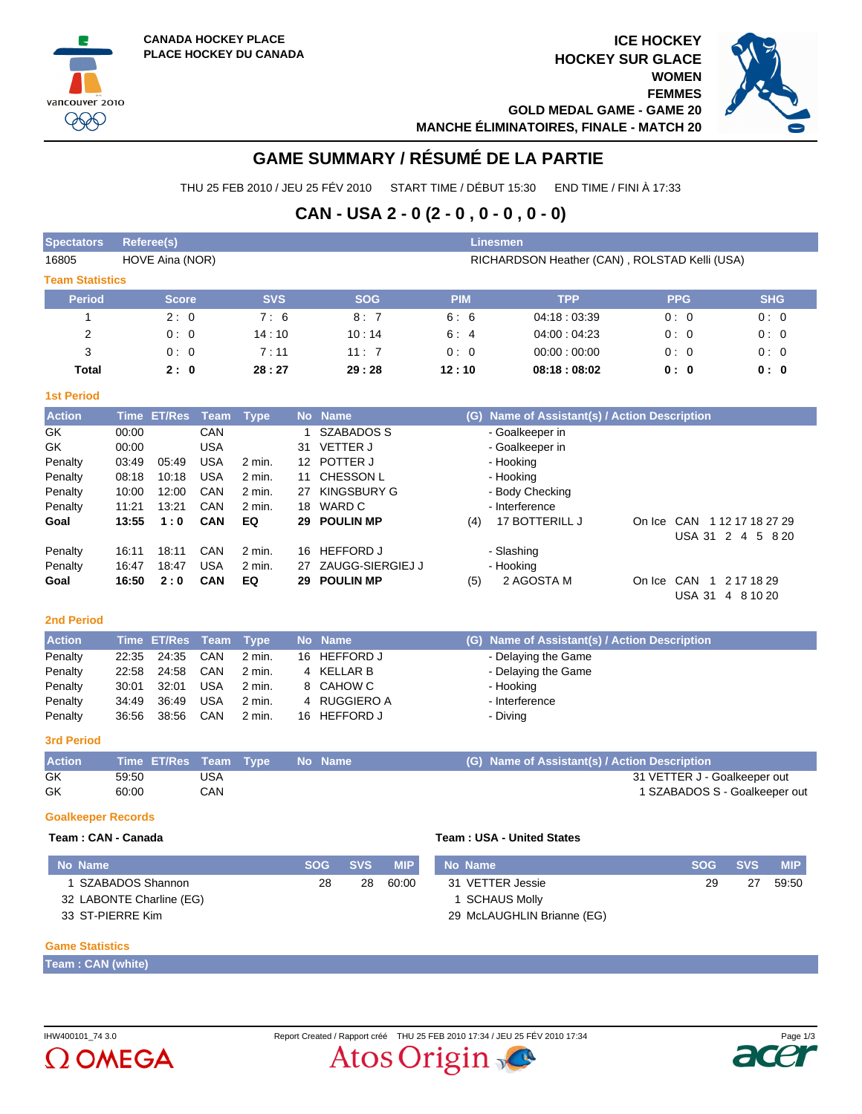

**ICE HOCKEY HOCKEY SUR GLACE WOMEN FEMMES GOLD MEDAL GAME - GAME 20 MANCHE ÉLIMINATOIRES, FINALE - MATCH 20**



# **GAME SUMMARY / RÉSUMÉ DE LA PARTIE**

THU 25 FEB 2010 / JEU 25 FÉV 2010 START TIME / DÉBUT 15:30 END TIME / FINI À 17:33

## **CAN - USA 2 - 0 (2 - 0 , 0 - 0 , 0 - 0)**

| <b>Spectators</b>      | Referee(s)<br><b>Linesmen</b> |                                               |            |            |             |            |            |  |  |  |  |  |  |  |
|------------------------|-------------------------------|-----------------------------------------------|------------|------------|-------------|------------|------------|--|--|--|--|--|--|--|
| 16805                  | HOVE Aina (NOR)               | RICHARDSON Heather (CAN), ROLSTAD Kelli (USA) |            |            |             |            |            |  |  |  |  |  |  |  |
| <b>Team Statistics</b> |                               |                                               |            |            |             |            |            |  |  |  |  |  |  |  |
| <b>Period</b>          | <b>Score</b>                  | <b>SVS</b>                                    | <b>SOG</b> | <b>PIM</b> | <b>TPP</b>  | <b>PPG</b> | <b>SHG</b> |  |  |  |  |  |  |  |
|                        | 2:0                           | 7:6                                           | 8:7        | 6:6        | 04:18:03:39 | 0:0        | 0:0        |  |  |  |  |  |  |  |
| 2                      | 0:0                           | 14:10                                         | 10:14      | 6:4        | 04:00:04:23 | 0:0        | 0:0        |  |  |  |  |  |  |  |
| 3                      | 0:0                           | 7:11                                          | 11:7       | 0:0        | 00:00:00:00 | 0:0        | 0:0        |  |  |  |  |  |  |  |
| Total                  | 2:0                           | 28:27                                         | 29:28      | 12:10      | 08:18:08:02 | 0: 0       | 0: 0       |  |  |  |  |  |  |  |

### **1st Period**

| <b>Action</b> |       | Time ET/Res Team |            | <b>Type</b> |    | No Name             | (G) | Name of Assistant(s) / Action Description |        |                            |
|---------------|-------|------------------|------------|-------------|----|---------------------|-----|-------------------------------------------|--------|----------------------------|
| GK            | 00:00 |                  | <b>CAN</b> |             |    | SZABADOS S          |     | - Goalkeeper in                           |        |                            |
| GK            | 00:00 |                  | <b>USA</b> |             | 31 | VETTER J            |     | - Goalkeeper in                           |        |                            |
| Penalty       | 03:49 | 05:49            | <b>USA</b> | 2 min.      |    | 12 POTTER J         |     | - Hooking                                 |        |                            |
| Penalty       | 08:18 | 10:18            | <b>USA</b> | $2$ min.    |    | 11 CHESSON L        |     | - Hooking                                 |        |                            |
| Penalty       | 10:00 | 12:00            | CAN        | 2 min.      | 27 | KINGSBURY G         |     | - Body Checking                           |        |                            |
| Penalty       | 11:21 | 13:21            | <b>CAN</b> | 2 min.      | 18 | WARD C              |     | - Interference                            |        |                            |
| Goal          | 13:55 | 1:0              | <b>CAN</b> | EQ          |    | 29 POULIN MP        | (4) | <b>17 BOTTERILL J</b>                     | On Ice | CAN<br>1 12 17 18 27 29    |
|               |       |                  |            |             |    |                     |     |                                           |        | USA 31 2<br>5 8 20<br>4    |
| Penalty       | 16:11 | 18:11            | CAN        | $2$ min.    | 16 | <b>HEFFORD J</b>    |     | - Slashing                                |        |                            |
| Penalty       | 16:47 | 18:47            | <b>USA</b> | 2 min.      |    | 27 ZAUGG-SIERGIEJ J |     | - Hooking                                 |        |                            |
| Goal          | 16:50 | 2:0              | <b>CAN</b> | EQ          | 29 | <b>POULIN MP</b>    | (5) | 2 AGOSTA M                                | On Ice | CAN<br>2 17 18 29          |
|               |       |                  |            |             |    |                     |     |                                           |        | <b>USA 31</b><br>4 8 10 20 |

### **2nd Period**

| <b>Action</b> |       | Time ET/Res Team Type |     |        | No Name      | (G) Name of Assistant(s) / Action Description |
|---------------|-------|-----------------------|-----|--------|--------------|-----------------------------------------------|
| Penalty       | 22:35 | 24:35                 | CAN | 2 min. | 16 HEFFORD J | - Delaying the Game                           |
| Penalty       | 22:58 | 24:58                 | CAN | 2 min. | 4 KELLAR B   | - Delaying the Game                           |
| Penalty       | 30:01 | 32:01                 | USA | 2 min. | 8 CAHOW C    | - Hooking                                     |
| Penalty       | 34:49 | 36.49                 | USA | 2 min. | 4 RUGGIERO A | - Interference                                |
| Penalty       | 36.56 | 38.56                 | CAN | 2 min. | 16 HEFFORD J | - Diving                                      |

### **3rd Period**

| <b>Action</b> |       |            | Time ET/Res Team Type No Name |  | (G) Name of Assistant(s) / Action Description |
|---------------|-------|------------|-------------------------------|--|-----------------------------------------------|
| GK            | 59:50 | USA        |                               |  | 31 VETTER J - Goalkeeper out                  |
| GK            | 60:00 | <b>CAN</b> |                               |  | 1 SZABADOS S - Goalkeeper out                 |

### **Goalkeeper Records**

### **Team : CAN - Canada Team : USA - United States**

| No Name                  | <b>SOG</b> | <b>SVS</b> | <b>MIP</b> | No Name                    | <b>SOG</b> | <b>SVS</b> | <b>MIP</b> |
|--------------------------|------------|------------|------------|----------------------------|------------|------------|------------|
| SZABADOS Shannon         | 28         | 28         | 60:00      | 31 VETTER Jessie           | 29         | 27         | 59.50      |
| 32 LABONTE Charline (EG) |            |            |            | SCHAUS Molly               |            |            |            |
| 33 ST-PIERRE Kim         |            |            |            | 29 McLAUGHLIN Brianne (EG) |            |            |            |

### **Game Statistics**

**Team : CAN (white)**



IHW400101\_74 3.0 Report Created / Rapport créé THU 25 FEB 2010 17:34 / JEU 25 FÉV 2010 17:34 Page 1/3Atos Origin

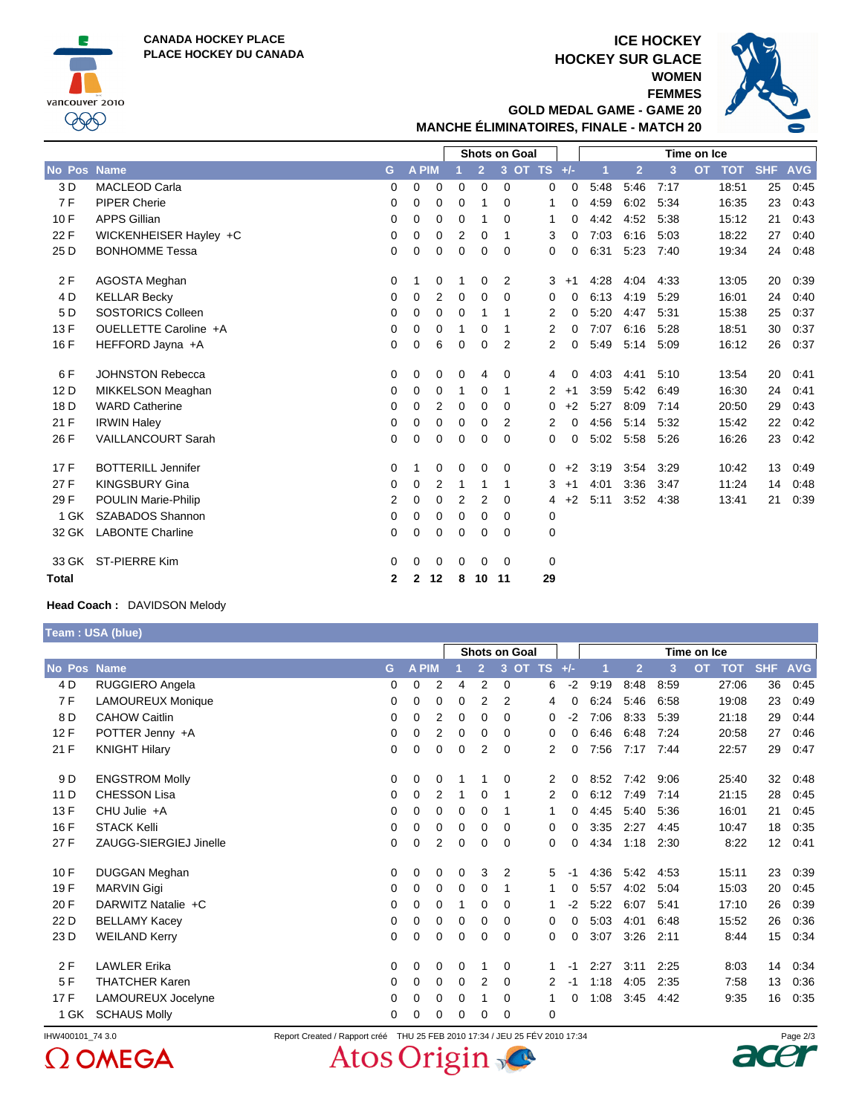**CANADA HOCKEY PLACE PLACE HOCKEY DU CANADA**



### **ICE HOCKEY HOCKEY SUR GLACE WOMEN FEMMES**



**GOLD MEDAL GAME - GAME 20 MANCHE ÉLIMINATOIRES, FINALE - MATCH 20**

|        |                            |             |              |             | <b>Shots on Goal</b> |                |                |             |                        | Time on Ice |                |      |                         |            |            |  |  |
|--------|----------------------------|-------------|--------------|-------------|----------------------|----------------|----------------|-------------|------------------------|-------------|----------------|------|-------------------------|------------|------------|--|--|
| No Pos | <b>Name</b>                | G           | <b>A PIM</b> |             |                      | $\overline{2}$ |                | 3 OT TS +/- |                        | $\mathbf 1$ | $\overline{2}$ | 3    | <b>OT</b><br><b>TOT</b> | <b>SHF</b> | <b>AVG</b> |  |  |
| 3 D    | <b>MACLEOD Carla</b>       | 0           | 0            | 0           | 0                    | 0              | $\Omega$       |             | 0<br>0                 | 5:48        | 5:46           | 7:17 | 18:51                   | 25         | 0:45       |  |  |
| 7F     | <b>PIPER Cherie</b>        | 0           | 0            | 0           | $\Omega$             | 1              | $\Omega$       |             | 1<br>0                 | 4:59        | 6:02           | 5:34 | 16:35                   | 23         | 0:43       |  |  |
| 10F    | <b>APPS Gillian</b>        | 0           | 0            | 0           | $\mathbf 0$          | 1              | 0              |             | 1<br>0                 | 4:42        | 4:52           | 5:38 | 15:12                   | 21         | 0.43       |  |  |
| 22 F   | WICKENHEISER Hayley +C     | 0           | 0            | 0           | $\overline{2}$       | $\mathbf 0$    | 1              |             | 3<br>0                 | 7:03        | 6:16           | 5:03 | 18:22                   | 27         | 0:40       |  |  |
| 25 D   | <b>BONHOMME Tessa</b>      | 0           | 0            | 0           | 0                    | 0              | $\Omega$       |             | 0<br>0                 | 6:31        | 5:23           | 7:40 | 19:34                   | 24         | 0:48       |  |  |
| 2F     | AGOSTA Meghan              | 0           |              | 0           | 1                    | 0              | 2              |             | 3<br>$+1$              | 4:28        | 4:04           | 4:33 | 13:05                   | 20         | 0:39       |  |  |
| 4 D    | <b>KELLAR Becky</b>        | 0           | 0            | 2           | 0                    | 0              | $\Omega$       |             | 0<br>$\Omega$          | 6:13        | 4:19           | 5:29 | 16:01                   | 24         | 0:40       |  |  |
| 5 D    | <b>SOSTORICS Colleen</b>   | 0           | 0            | 0           | 0                    |                | 1              |             | 2<br>0                 | 5:20        | 4:47           | 5:31 | 15:38                   | 25         | 0:37       |  |  |
| 13F    | OUELLETTE Caroline +A      | 0           | 0            | 0           |                      | 0              | 1              |             | 2<br>0                 | 7:07        | 6:16           | 5:28 | 18:51                   | 30         | 0:37       |  |  |
| 16 F   | HEFFORD Jayna +A           | 0           | 0            | 6           | 0                    | 0              | $\overline{2}$ |             | $\overline{2}$<br>0    | 5:49        | 5:14           | 5:09 | 16:12                   | 26         | 0:37       |  |  |
| 6 F    | <b>JOHNSTON Rebecca</b>    | 0           | 0            | 0           | 0                    | 4              | 0              |             | 0<br>4                 | 4:03        | 4:41           | 5:10 | 13:54                   | 20         | 0:41       |  |  |
| 12 D   | MIKKELSON Meaghan          | 0           | 0            | 0           | 1                    | $\mathbf 0$    | 1              |             | $+1$<br>$\overline{2}$ | 3:59        | 5:42           | 6:49 | 16:30                   | 24         | 0:41       |  |  |
| 18 D   | <b>WARD Catherine</b>      | 0           | 0            | 2           | 0                    | 0              | 0              |             | $+2$<br>0              | 5:27        | 8:09           | 7:14 | 20:50                   | 29         | 0:43       |  |  |
| 21 F   | <b>IRWIN Haley</b>         | $\mathbf 0$ | 0            | $\mathbf 0$ | 0                    | 0              | 2              |             | 2<br>0                 | 4:56        | 5:14           | 5:32 | 15:42                   | 22         | 0:42       |  |  |
| 26 F   | <b>VAILLANCOURT Sarah</b>  | $\Omega$    | 0            | 0           | 0                    | 0              | $\Omega$       |             | 0<br>0                 | 5:02        | 5:58           | 5:26 | 16:26                   | 23         | 0:42       |  |  |
| 17F    | <b>BOTTERILL Jennifer</b>  | 0           |              | 0           | 0                    | 0              | 0              |             | $+2$<br>0              | 3:19        | 3:54           | 3:29 | 10:42                   | 13         | 0:49       |  |  |
| 27 F   | <b>KINGSBURY Gina</b>      | 0           | 0            | 2           | 1                    | 1              | 1              |             | 3<br>$+1$              | 4:01        | 3:36           | 3:47 | 11:24                   | 14         | 0:48       |  |  |
| 29 F   | <b>POULIN Marie-Philip</b> | 2           | 0            | $\mathbf 0$ | $\overline{2}$       | 2              | 0              |             | $+2$<br>4              | 5:11        | 3:52           | 4:38 | 13:41                   | 21         | 0:39       |  |  |
| 1 GK   | SZABADOS Shannon           | 0           | 0            | 0           | 0                    | 0              | 0              |             | 0                      |             |                |      |                         |            |            |  |  |
| 32 GK  | <b>LABONTE Charline</b>    | $\Omega$    | 0            | 0           | 0                    | 0              | $\Omega$       |             | 0                      |             |                |      |                         |            |            |  |  |
| 33 GK  | <b>ST-PIERRE Kim</b>       | $\Omega$    | 0            | 0           | 0                    | 0              | 0              |             | 0                      |             |                |      |                         |            |            |  |  |
| Total  |                            | 2           | 2            | 12          | 8                    | 10             | 11             | 29          |                        |             |                |      |                         |            |            |  |  |

### **Head Coach :** DAVIDSON Melody

**Team : USA (blue)**

|        |                        |          |       |   | Shots on Goal |                |                             |                |       | Time on Ice |                |      |                         |                   |            |
|--------|------------------------|----------|-------|---|---------------|----------------|-----------------------------|----------------|-------|-------------|----------------|------|-------------------------|-------------------|------------|
| No Pos | <b>Name</b>            | G        | A PIM |   |               | $\overline{2}$ | 3 <sup>1</sup><br><b>OT</b> | <b>TS</b>      | $+/-$ |             | $\overline{2}$ | 3    | <b>OT</b><br><b>TOT</b> | <b>SHF</b>        | <b>AVG</b> |
| 4 D    | RUGGIERO Angela        | 0        | 0     | 2 | 4             | 2              | 0                           | 6              | $-2$  | 9:19        | 8:48           | 8:59 | 27:06                   | 36                | 0:45       |
| 7 F    | LAMOUREUX Monique      | 0        | 0     | 0 | 0             | 2              | 2                           | 4              | 0     | 6:24        | 5:46           | 6:58 | 19:08                   | 23                | 0:49       |
| 8 D    | <b>CAHOW Caitlin</b>   | 0        | 0     | 2 | $\mathbf 0$   | 0              | 0                           | 0              | -2    | 7:06        | 8:33           | 5:39 | 21:18                   | 29                | 0:44       |
| 12F    | POTTER Jenny +A        | 0        | 0     | 2 | 0             | 0              | 0                           | 0              | 0     | 6:46        | 6:48           | 7:24 | 20:58                   | 27                | 0:46       |
| 21 F   | <b>KNIGHT Hilary</b>   | 0        | 0     | 0 | 0             | 2              | $\Omega$                    | $\overline{2}$ | 0     | 7:56        | 7:17           | 7:44 | 22:57                   | 29                | 0:47       |
| 9 D    | <b>ENGSTROM Molly</b>  | 0        | 0     | 0 |               |                | 0                           | 2              | 0     | 8:52        | 7:42           | 9:06 | 25:40                   | 32                | 0.48       |
| 11 D   | <b>CHESSON Lisa</b>    | 0        | 0     | 2 | 1             | 0              | 1                           | 2              | 0     | 6:12        | 7:49           | 7:14 | 21:15                   | 28                | 0:45       |
| 13F    | CHU Julie +A           | $\Omega$ | 0     | 0 | 0             | 0              |                             | 1.             | 0     | 4:45        | 5:40           | 5:36 | 16:01                   | 21                | 0:45       |
| 16 F   | <b>STACK Kelli</b>     | 0        | 0     | 0 | 0             | 0              | 0                           | 0              | 0     | 3:35        | 2:27           | 4:45 | 10:47                   | 18                | 0:35       |
| 27 F   | ZAUGG-SIERGIEJ Jinelle | 0        | 0     | 2 | 0             | 0              | 0                           | 0              | 0     | 4:34        | 1:18           | 2:30 | 8:22                    | $12 \overline{ }$ | 0.41       |
| 10F    | <b>DUGGAN Meghan</b>   | 0        | 0     | 0 | 0             | 3              | 2                           | 5.             | -1    | 4:36        | 5:42           | 4:53 | 15:11                   | 23                | 0:39       |
| 19F    | <b>MARVIN Gigi</b>     | 0        | 0     | 0 | 0             | 0              |                             | 1              | 0     | 5:57        | 4:02           | 5:04 | 15:03                   | 20                | 0:45       |
| 20 F   | DARWITZ Natalie +C     | 0        | 0     | 0 |               | 0              | 0                           | 1.             | $-2$  | 5:22        | 6:07           | 5:41 | 17:10                   | 26                | 0:39       |
| 22 D   | <b>BELLAMY Kacey</b>   | 0        | 0     | 0 | 0             | 0              | 0                           | 0              | 0     | 5:03        | 4:01           | 6:48 | 15:52                   | 26                | 0:36       |
| 23 D   | <b>WEILAND Kerry</b>   | 0        | 0     | 0 | $\Omega$      | 0              | 0                           | 0              | 0     | 3:07        | 3:26           | 2:11 | 8:44                    | 15                | 0.34       |
| 2F     | <b>LAWLER Erika</b>    | 0        | 0     | 0 | 0             |                | 0                           | 1.             | -1    | 2:27        | 3:11           | 2:25 | 8:03                    | 14                | 0:34       |
| 5F     | <b>THATCHER Karen</b>  | $\Omega$ | 0     | 0 | $\Omega$      | 2              | $\Omega$                    | 2              | -1    | 1:18        | 4:05           | 2:35 | 7:58                    | 13                | 0:36       |
| 17F    | LAMOUREUX Jocelyne     | 0        | 0     | 0 | 0             |                | 0                           | 1              | 0     | 1:08        | 3:45           | 4:42 | 9:35                    | 16                | 0:35       |
| 1 GK   | <b>SCHAUS Molly</b>    | 0        | 0     | 0 | 0             | 0              | 0                           | 0              |       |             |                |      |                         |                   |            |



IHW400101\_74 3.0 **Report Created / Rapport Created / Rapport créé** THU 25 FEB 2010 17:34 / JEU 25 FÉV 2010 17:34 Atos Origin